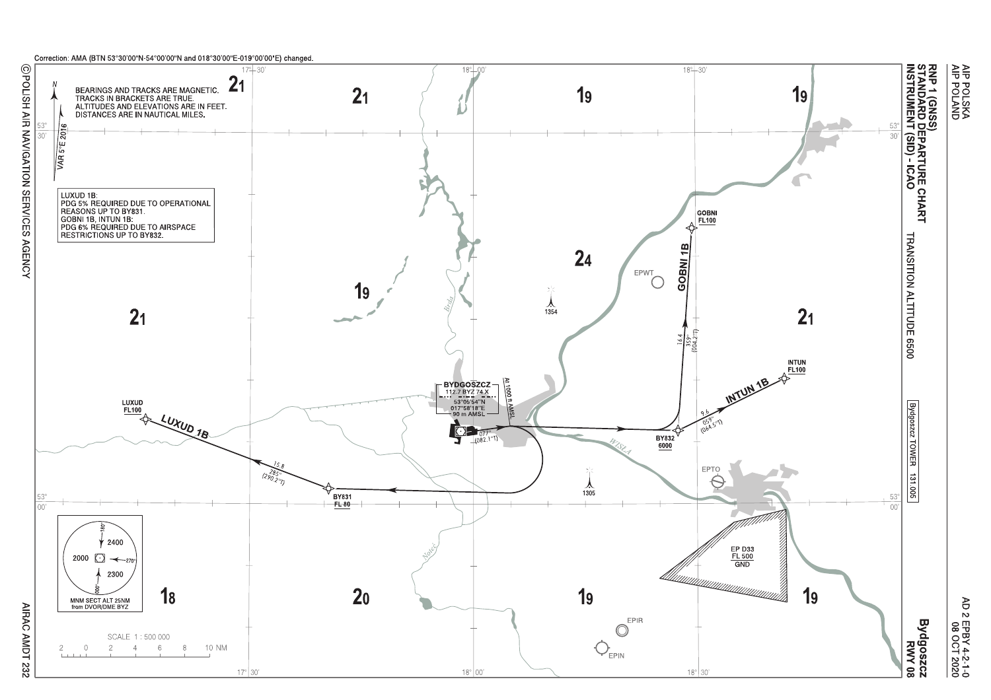

AIRAC AMDT 232